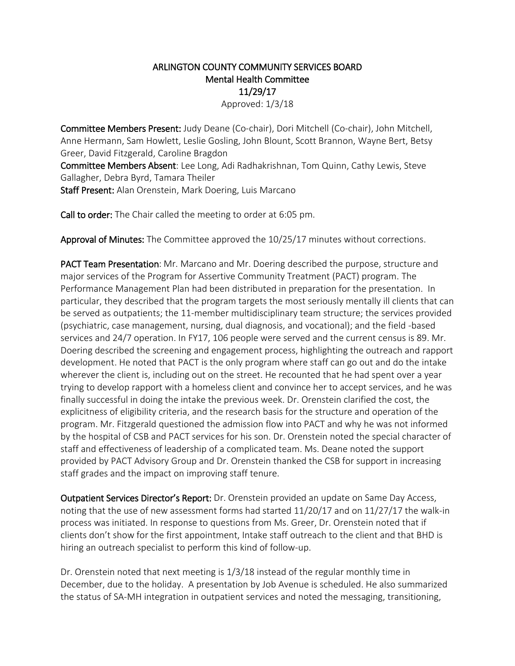## ARLINGTON COUNTY COMMUNITY SERVICES BOARD Mental Health Committee 11/29/17

Approved: 1/3/18

Committee Members Present: Judy Deane (Co-chair), Dori Mitchell (Co-chair), John Mitchell, Anne Hermann, Sam Howlett, Leslie Gosling, John Blount, Scott Brannon, Wayne Bert, Betsy Greer, David Fitzgerald, Caroline Bragdon Committee Members Absent: Lee Long, Adi Radhakrishnan, Tom Quinn, Cathy Lewis, Steve Gallagher, Debra Byrd, Tamara Theiler

Staff Present: Alan Orenstein, Mark Doering, Luis Marcano

Call to order: The Chair called the meeting to order at 6:05 pm.

Approval of Minutes: The Committee approved the 10/25/17 minutes without corrections.

PACT Team Presentation: Mr. Marcano and Mr. Doering described the purpose, structure and major services of the Program for Assertive Community Treatment (PACT) program. The Performance Management Plan had been distributed in preparation for the presentation. In particular, they described that the program targets the most seriously mentally ill clients that can be served as outpatients; the 11-member multidisciplinary team structure; the services provided (psychiatric, case management, nursing, dual diagnosis, and vocational); and the field -based services and 24/7 operation. In FY17, 106 people were served and the current census is 89. Mr. Doering described the screening and engagement process, highlighting the outreach and rapport development. He noted that PACT is the only program where staff can go out and do the intake wherever the client is, including out on the street. He recounted that he had spent over a year trying to develop rapport with a homeless client and convince her to accept services, and he was finally successful in doing the intake the previous week. Dr. Orenstein clarified the cost, the explicitness of eligibility criteria, and the research basis for the structure and operation of the program. Mr. Fitzgerald questioned the admission flow into PACT and why he was not informed by the hospital of CSB and PACT services for his son. Dr. Orenstein noted the special character of staff and effectiveness of leadership of a complicated team. Ms. Deane noted the support provided by PACT Advisory Group and Dr. Orenstein thanked the CSB for support in increasing staff grades and the impact on improving staff tenure.

Outpatient Services Director's Report: Dr. Orenstein provided an update on Same Day Access, noting that the use of new assessment forms had started 11/20/17 and on 11/27/17 the walk-in process was initiated. In response to questions from Ms. Greer, Dr. Orenstein noted that if clients don't show for the first appointment, Intake staff outreach to the client and that BHD is hiring an outreach specialist to perform this kind of follow-up.

Dr. Orenstein noted that next meeting is 1/3/18 instead of the regular monthly time in December, due to the holiday. A presentation by Job Avenue is scheduled. He also summarized the status of SA-MH integration in outpatient services and noted the messaging, transitioning,